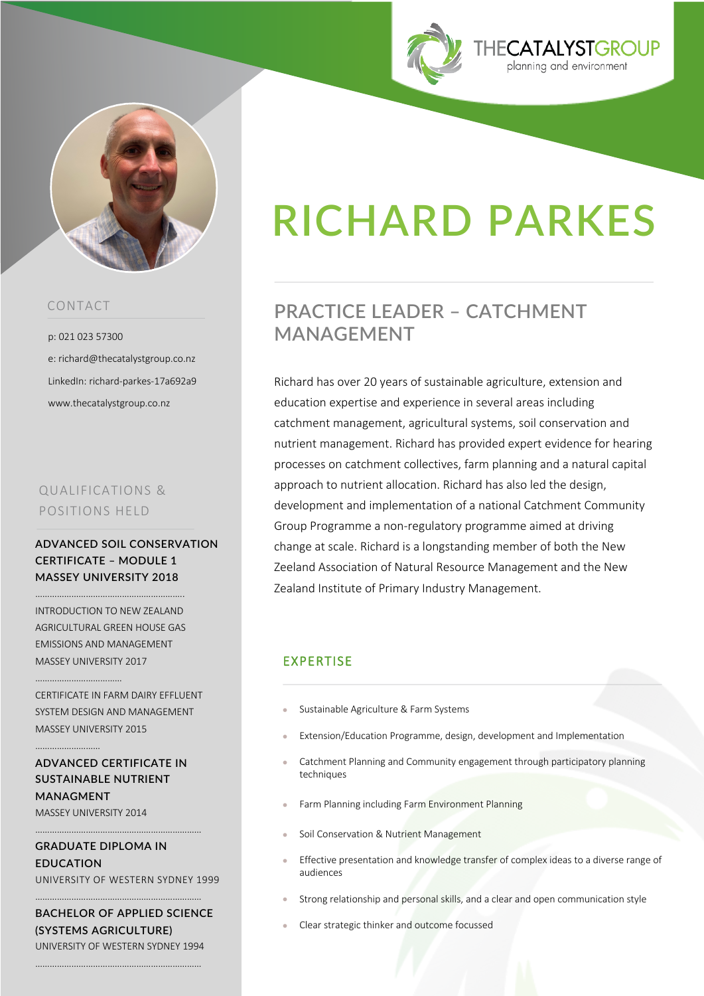



#### CONTACT

p: 021 023 57300 e: richard@thecatalystgroup.co.nz LinkedIn: richard-parkes-17a692a9 www.thecatalystgroup.co.nz

## QUALIFICATIONS & POSITIONS HELD

**ADVANCED SOIL CONSERVATION CERTIFICATE – MODULE 1 MASSEY UNIVERSITY 2018**

……………………………………………………..

INTRODUCTION TO NEW ZEALAND AGRICULTURAL GREEN HOUSE GAS EMISSIONS AND MANAGEMENT MASSEY UNIVERSITY 2017

CERTIFICATE IN FARM DAIRY EFFLUENT SYSTEM DESIGN AND MANAGEMENT MASSEY UNIVERSITY 2015

# **ADVANCED CERTIFICATE IN SUSTAINABLE NUTRIENT MANAGMENT**

MASSEY UNIVERSITY 2014

………………………………………

………………………

**GRADUATE DIPLOMA IN EDUCATION**

……………………………………………………………

UNIVERSITY OF WESTERN SYDNEY 1999

**BACHELOR OF APPLIED SCIENCE (SYSTEMS AGRICULTURE)** UNIVERSITY OF WESTERN SYDNEY 1994

……………………………………………………………

……………………………………………………………

# **RICHARD PARKES**

# **PRACTICE LEADER – CATCHMENT MANAGEMENT**

Richard has over 20 years of sustainable agriculture, extension and education expertise and experience in several areas including catchment management, agricultural systems, soil conservation and nutrient management. Richard has provided expert evidence for hearing processes on catchment collectives, farm planning and a natural capital approach to nutrient allocation. Richard has also led the design, development and implementation of a national Catchment Community Group Programme a non-regulatory programme aimed at driving change at scale. Richard is a longstanding member of both the New Zeeland Association of Natural Resource Management and the New Zealand Institute of Primary Industry Management.

#### EXPERTISE

- Sustainable Agriculture & Farm Systems
- Extension/Education Programme, design, development and Implementation
- Catchment Planning and Community engagement through participatory planning techniques
- Farm Planning including Farm Environment Planning
- Soil Conservation & Nutrient Management
- Effective presentation and knowledge transfer of complex ideas to a diverse range of audiences
- Strong relationship and personal skills, and a clear and open communication style
- Clear strategic thinker and outcome focussed